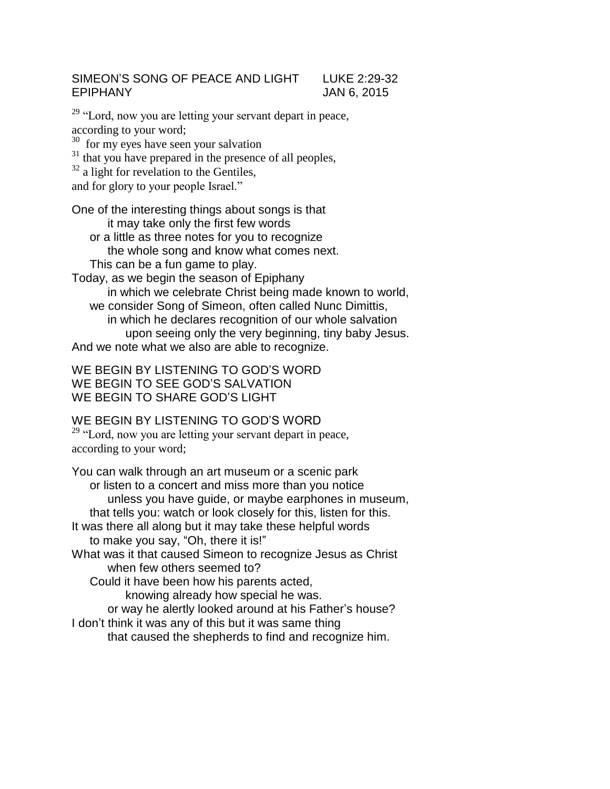## SIMEON'S SONG OF PEACE AND LIGHT LUKE 2:29-32 EPIPHANY JAN 6, 2015

<sup>29</sup> "Lord, now you are letting your servant depart in peace, according to your word;  $30$  for my eyes have seen your salvation

<sup>31</sup> that you have prepared in the presence of all peoples,

 $32$  a light for revelation to the Gentiles,

and for glory to your people Israel."

One of the interesting things about songs is that it may take only the first few words

or a little as three notes for you to recognize the whole song and know what comes next. This can be a fun game to play.

Today, as we begin the season of Epiphany in which we celebrate Christ being made known to world, we consider Song of Simeon, often called Nunc Dimittis, in which he declares recognition of our whole salvation upon seeing only the very beginning, tiny baby Jesus. And we note what we also are able to recognize.

WE BEGIN BY LISTENING TO GOD'S WORD WE BEGIN TO SEE GOD'S SALVATION WE BEGIN TO SHARE GOD'S LIGHT

WE BEGIN BY LISTENING TO GOD'S WORD

<sup>29</sup> "Lord, now you are letting your servant depart in peace, according to your word;

You can walk through an art museum or a scenic park or listen to a concert and miss more than you notice unless you have guide, or maybe earphones in museum, that tells you: watch or look closely for this, listen for this. It was there all along but it may take these helpful words to make you say, "Oh, there it is!" What was it that caused Simeon to recognize Jesus as Christ when few others seemed to? Could it have been how his parents acted, knowing already how special he was. or way he alertly looked around at his Father's house?

I don't think it was any of this but it was same thing

that caused the shepherds to find and recognize him.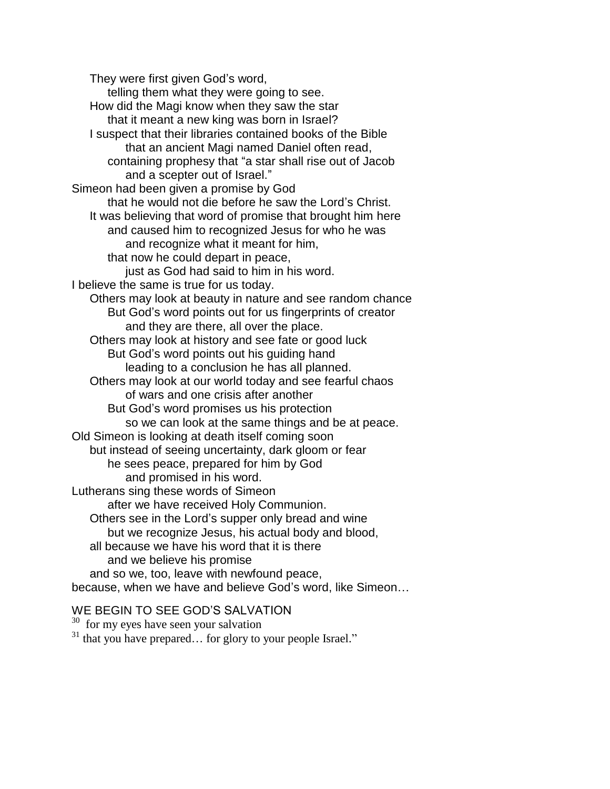They were first given God's word, telling them what they were going to see. How did the Magi know when they saw the star that it meant a new king was born in Israel? I suspect that their libraries contained books of the Bible that an ancient Magi named Daniel often read, containing prophesy that "a star shall rise out of Jacob and a scepter out of Israel." Simeon had been given a promise by God that he would not die before he saw the Lord's Christ. It was believing that word of promise that brought him here and caused him to recognized Jesus for who he was and recognize what it meant for him, that now he could depart in peace, just as God had said to him in his word. I believe the same is true for us today. Others may look at beauty in nature and see random chance But God's word points out for us fingerprints of creator and they are there, all over the place. Others may look at history and see fate or good luck But God's word points out his guiding hand leading to a conclusion he has all planned. Others may look at our world today and see fearful chaos of wars and one crisis after another But God's word promises us his protection so we can look at the same things and be at peace. Old Simeon is looking at death itself coming soon but instead of seeing uncertainty, dark gloom or fear he sees peace, prepared for him by God and promised in his word. Lutherans sing these words of Simeon after we have received Holy Communion. Others see in the Lord's supper only bread and wine but we recognize Jesus, his actual body and blood, all because we have his word that it is there and we believe his promise and so we, too, leave with newfound peace, because, when we have and believe God's word, like Simeon…

## WE BEGIN TO SEE GOD'S SALVATION

<sup>30</sup> for my eyes have seen your salvation <sup>31</sup> that you have prepared… for glory to your people Israel."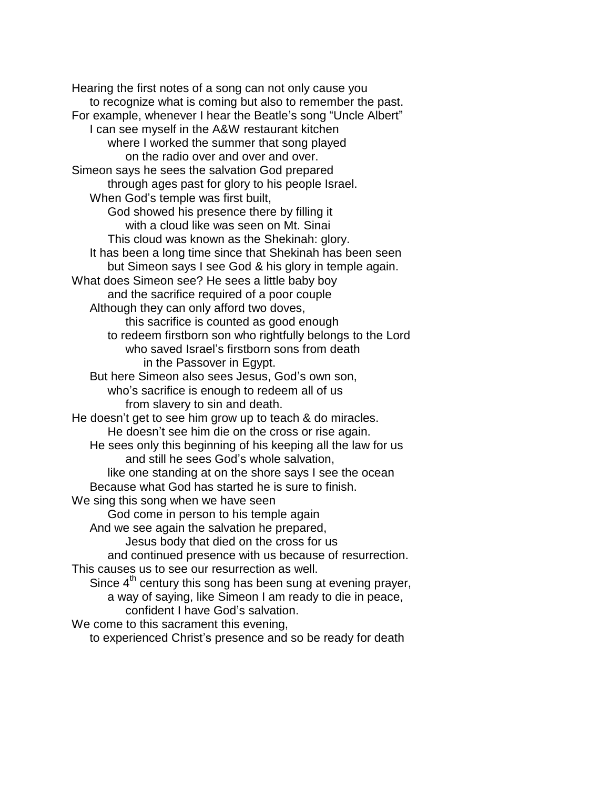Hearing the first notes of a song can not only cause you to recognize what is coming but also to remember the past. For example, whenever I hear the Beatle's song "Uncle Albert" I can see myself in the A&W restaurant kitchen where I worked the summer that song played on the radio over and over and over. Simeon says he sees the salvation God prepared through ages past for glory to his people Israel. When God's temple was first built, God showed his presence there by filling it with a cloud like was seen on Mt. Sinai This cloud was known as the Shekinah: glory. It has been a long time since that Shekinah has been seen but Simeon says I see God & his glory in temple again. What does Simeon see? He sees a little baby boy and the sacrifice required of a poor couple Although they can only afford two doves, this sacrifice is counted as good enough to redeem firstborn son who rightfully belongs to the Lord who saved Israel's firstborn sons from death in the Passover in Egypt. But here Simeon also sees Jesus, God's own son, who's sacrifice is enough to redeem all of us from slavery to sin and death. He doesn't get to see him grow up to teach & do miracles. He doesn't see him die on the cross or rise again. He sees only this beginning of his keeping all the law for us and still he sees God's whole salvation, like one standing at on the shore says I see the ocean Because what God has started he is sure to finish. We sing this song when we have seen God come in person to his temple again And we see again the salvation he prepared, Jesus body that died on the cross for us and continued presence with us because of resurrection. This causes us to see our resurrection as well. Since  $4<sup>th</sup>$  century this song has been sung at evening prayer, a way of saying, like Simeon I am ready to die in peace, confident I have God's salvation. We come to this sacrament this evening, to experienced Christ's presence and so be ready for death